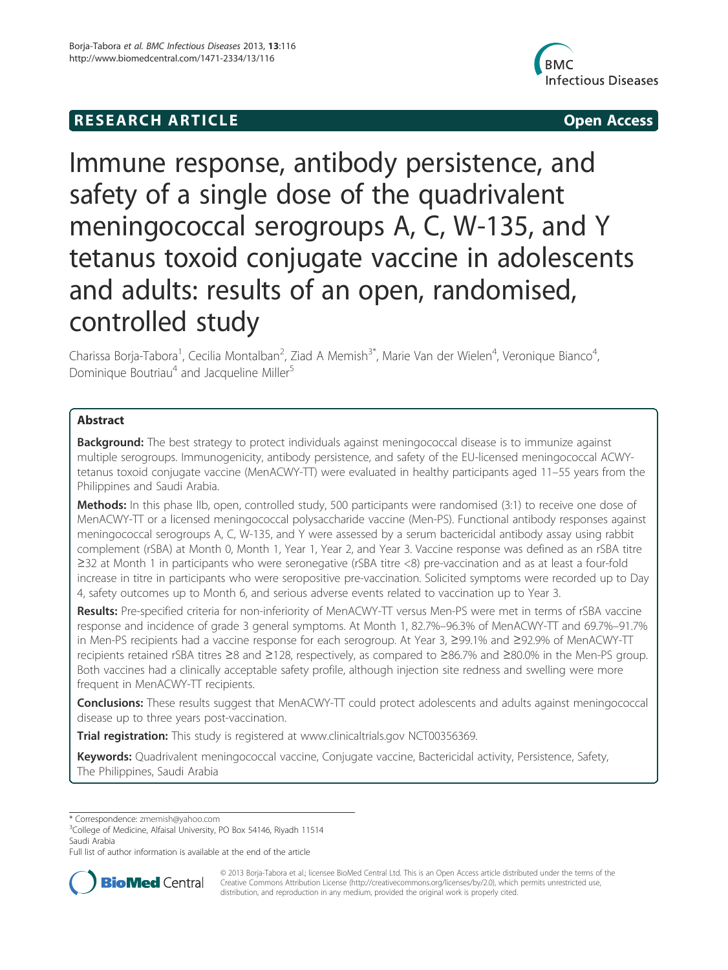## **RESEARCH ARTICLE Example 2014 CONSIDERING CONSIDERING CONSIDERING CONSIDERING CONSIDERING CONSIDERING CONSIDERING CONSIDERING CONSIDERING CONSIDERING CONSIDERING CONSIDERING CONSIDERING CONSIDERING CONSIDERING CONSIDE**



# Immune response, antibody persistence, and safety of a single dose of the quadrivalent meningococcal serogroups A, C, W-135, and Y tetanus toxoid conjugate vaccine in adolescents and adults: results of an open, randomised, controlled study

Charissa Borja-Tabora<sup>1</sup>, Cecilia Montalban<sup>2</sup>, Ziad A Memish<sup>3\*</sup>, Marie Van der Wielen<sup>4</sup>, Veronique Bianco<sup>4</sup> , Dominique Boutriau<sup>4</sup> and Jacqueline Miller<sup>5</sup>

## Abstract

**Background:** The best strategy to protect individuals against meningococcal disease is to immunize against multiple serogroups. Immunogenicity, antibody persistence, and safety of the EU-licensed meningococcal ACWYtetanus toxoid conjugate vaccine (MenACWY-TT) were evaluated in healthy participants aged 11–55 years from the Philippines and Saudi Arabia.

Methods: In this phase IIb, open, controlled study, 500 participants were randomised (3:1) to receive one dose of MenACWY-TT or a licensed meningococcal polysaccharide vaccine (Men-PS). Functional antibody responses against meningococcal serogroups A, C, W-135, and Y were assessed by a serum bactericidal antibody assay using rabbit complement (rSBA) at Month 0, Month 1, Year 1, Year 2, and Year 3. Vaccine response was defined as an rSBA titre ≥32 at Month 1 in participants who were seronegative (rSBA titre <8) pre-vaccination and as at least a four-fold increase in titre in participants who were seropositive pre-vaccination. Solicited symptoms were recorded up to Day 4, safety outcomes up to Month 6, and serious adverse events related to vaccination up to Year 3.

Results: Pre-specified criteria for non-inferiority of MenACWY-TT versus Men-PS were met in terms of rSBA vaccine response and incidence of grade 3 general symptoms. At Month 1, 82.7%–96.3% of MenACWY-TT and 69.7%–91.7% in Men-PS recipients had a vaccine response for each serogroup. At Year 3, ≥99.1% and ≥92.9% of MenACWY-TT recipients retained rSBA titres ≥8 and ≥128, respectively, as compared to ≥86.7% and ≥80.0% in the Men-PS group. Both vaccines had a clinically acceptable safety profile, although injection site redness and swelling were more frequent in MenACWY-TT recipients.

Conclusions: These results suggest that MenACWY-TT could protect adolescents and adults against meningococcal disease up to three years post-vaccination.

Trial registration: This study is registered at www.clinicaltrials.gov NCT00356369.

Keywords: Quadrivalent meningococcal vaccine, Conjugate vaccine, Bactericidal activity, Persistence, Safety, The Philippines, Saudi Arabia

\* Correspondence: zmemish@yahoo.com <sup>3</sup>

<sup>3</sup>College of Medicine, Alfaisal University, PO Box 54146, Riyadh 11514 Saudi Arabia

Full list of author information is available at the end of the article



© 2013 Borja-Tabora et al.; licensee BioMed Central Ltd. This is an Open Access article distributed under the terms of the Creative Commons Attribution License (http://creativecommons.org/licenses/by/2.0), which permits unrestricted use, distribution, and reproduction in any medium, provided the original work is properly cited.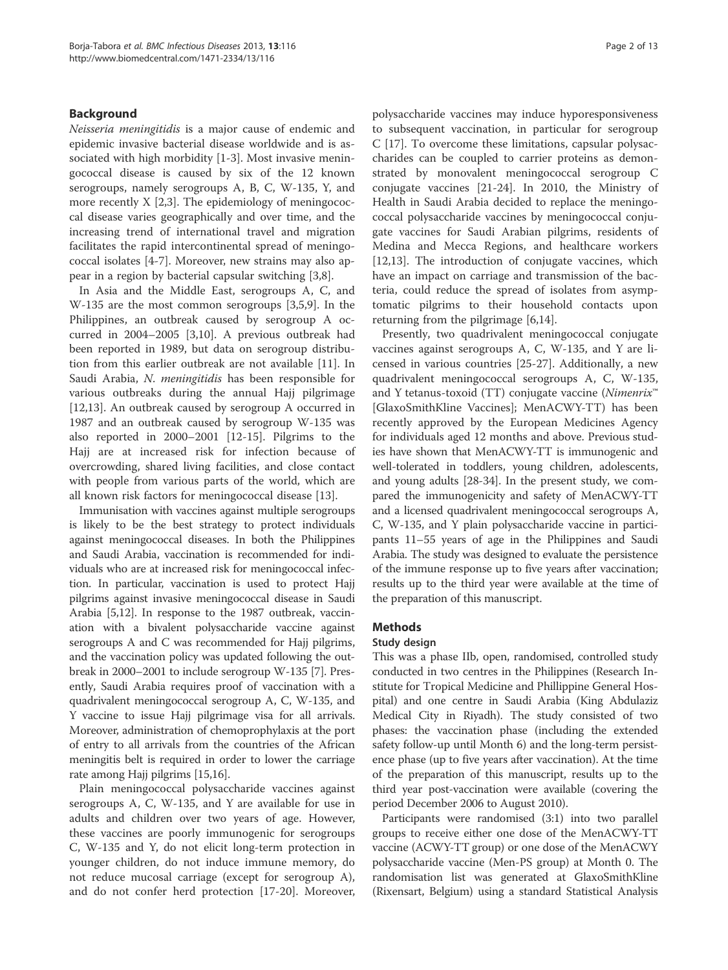## Background

Neisseria meningitidis is a major cause of endemic and epidemic invasive bacterial disease worldwide and is associated with high morbidity [1-3]. Most invasive meningococcal disease is caused by six of the 12 known serogroups, namely serogroups A, B, C, W-135, Y, and more recently X [2,3]. The epidemiology of meningococcal disease varies geographically and over time, and the increasing trend of international travel and migration facilitates the rapid intercontinental spread of meningococcal isolates [4-7]. Moreover, new strains may also appear in a region by bacterial capsular switching [3,8].

In Asia and the Middle East, serogroups A, C, and W-135 are the most common serogroups [3,5,9]. In the Philippines, an outbreak caused by serogroup A occurred in 2004–2005 [3,10]. A previous outbreak had been reported in 1989, but data on serogroup distribution from this earlier outbreak are not available [11]. In Saudi Arabia, N. meningitidis has been responsible for various outbreaks during the annual Hajj pilgrimage [12,13]. An outbreak caused by serogroup A occurred in 1987 and an outbreak caused by serogroup W-135 was also reported in 2000–2001 [12-15]. Pilgrims to the Hajj are at increased risk for infection because of overcrowding, shared living facilities, and close contact with people from various parts of the world, which are all known risk factors for meningococcal disease [13].

Immunisation with vaccines against multiple serogroups is likely to be the best strategy to protect individuals against meningococcal diseases. In both the Philippines and Saudi Arabia, vaccination is recommended for individuals who are at increased risk for meningococcal infection. In particular, vaccination is used to protect Hajj pilgrims against invasive meningococcal disease in Saudi Arabia [5,12]. In response to the 1987 outbreak, vaccination with a bivalent polysaccharide vaccine against serogroups A and C was recommended for Hajj pilgrims, and the vaccination policy was updated following the outbreak in 2000–2001 to include serogroup W-135 [7]. Presently, Saudi Arabia requires proof of vaccination with a quadrivalent meningococcal serogroup A, C, W-135, and Y vaccine to issue Hajj pilgrimage visa for all arrivals. Moreover, administration of chemoprophylaxis at the port of entry to all arrivals from the countries of the African meningitis belt is required in order to lower the carriage rate among Hajj pilgrims [15,16].

Plain meningococcal polysaccharide vaccines against serogroups A, C, W-135, and Y are available for use in adults and children over two years of age. However, these vaccines are poorly immunogenic for serogroups C, W-135 and Y, do not elicit long-term protection in younger children, do not induce immune memory, do not reduce mucosal carriage (except for serogroup A), and do not confer herd protection [17-20]. Moreover,

polysaccharide vaccines may induce hyporesponsiveness to subsequent vaccination, in particular for serogroup C [17]. To overcome these limitations, capsular polysaccharides can be coupled to carrier proteins as demonstrated by monovalent meningococcal serogroup C conjugate vaccines [21-24]. In 2010, the Ministry of Health in Saudi Arabia decided to replace the meningococcal polysaccharide vaccines by meningococcal conjugate vaccines for Saudi Arabian pilgrims, residents of Medina and Mecca Regions, and healthcare workers [12,13]. The introduction of conjugate vaccines, which have an impact on carriage and transmission of the bacteria, could reduce the spread of isolates from asymptomatic pilgrims to their household contacts upon returning from the pilgrimage [6,14].

Presently, two quadrivalent meningococcal conjugate vaccines against serogroups A, C, W-135, and Y are licensed in various countries [25-27]. Additionally, a new quadrivalent meningococcal serogroups A, C, W-135, and Y tetanus-toxoid (TT) conjugate vaccine (Nimenrix™ [GlaxoSmithKline Vaccines]; MenACWY-TT) has been recently approved by the European Medicines Agency for individuals aged 12 months and above. Previous studies have shown that MenACWY-TT is immunogenic and well-tolerated in toddlers, young children, adolescents, and young adults [28-34]. In the present study, we compared the immunogenicity and safety of MenACWY-TT and a licensed quadrivalent meningococcal serogroups A, C, W-135, and Y plain polysaccharide vaccine in participants 11–55 years of age in the Philippines and Saudi Arabia. The study was designed to evaluate the persistence of the immune response up to five years after vaccination; results up to the third year were available at the time of the preparation of this manuscript.

## Methods

## Study design

This was a phase IIb, open, randomised, controlled study conducted in two centres in the Philippines (Research Institute for Tropical Medicine and Phillippine General Hospital) and one centre in Saudi Arabia (King Abdulaziz Medical City in Riyadh). The study consisted of two phases: the vaccination phase (including the extended safety follow-up until Month 6) and the long-term persistence phase (up to five years after vaccination). At the time of the preparation of this manuscript, results up to the third year post-vaccination were available (covering the period December 2006 to August 2010).

Participants were randomised (3:1) into two parallel groups to receive either one dose of the MenACWY-TT vaccine (ACWY-TT group) or one dose of the MenACWY polysaccharide vaccine (Men-PS group) at Month 0. The randomisation list was generated at GlaxoSmithKline (Rixensart, Belgium) using a standard Statistical Analysis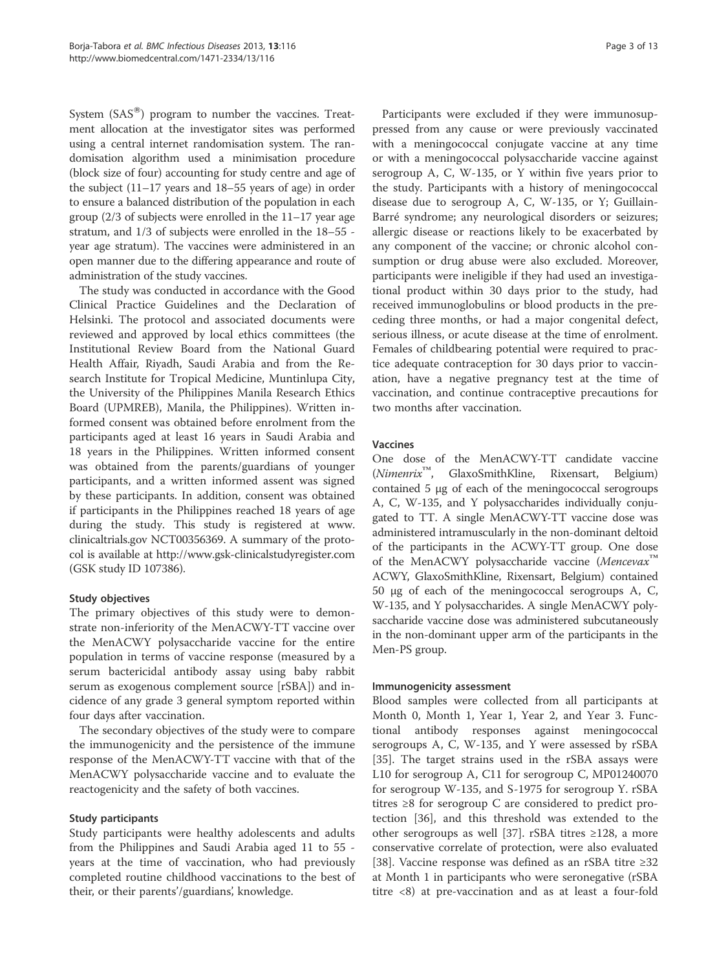System  $(SAS^{\circledast})$  program to number the vaccines. Treatment allocation at the investigator sites was performed using a central internet randomisation system. The randomisation algorithm used a minimisation procedure (block size of four) accounting for study centre and age of the subject (11–17 years and 18–55 years of age) in order to ensure a balanced distribution of the population in each group (2/3 of subjects were enrolled in the 11–17 year age stratum, and 1/3 of subjects were enrolled in the 18–55 year age stratum). The vaccines were administered in an open manner due to the differing appearance and route of administration of the study vaccines.

The study was conducted in accordance with the Good Clinical Practice Guidelines and the Declaration of Helsinki. The protocol and associated documents were reviewed and approved by local ethics committees (the Institutional Review Board from the National Guard Health Affair, Riyadh, Saudi Arabia and from the Research Institute for Tropical Medicine, Muntinlupa City, the University of the Philippines Manila Research Ethics Board (UPMREB), Manila, the Philippines). Written informed consent was obtained before enrolment from the participants aged at least 16 years in Saudi Arabia and 18 years in the Philippines. Written informed consent was obtained from the parents/guardians of younger participants, and a written informed assent was signed by these participants. In addition, consent was obtained if participants in the Philippines reached 18 years of age during the study. This study is registered at www. clinicaltrials.gov NCT00356369. A summary of the protocol is available at http://www.gsk-clinicalstudyregister.com (GSK study ID 107386).

## Study objectives

The primary objectives of this study were to demonstrate non-inferiority of the MenACWY-TT vaccine over the MenACWY polysaccharide vaccine for the entire population in terms of vaccine response (measured by a serum bactericidal antibody assay using baby rabbit serum as exogenous complement source [rSBA]) and incidence of any grade 3 general symptom reported within four days after vaccination.

The secondary objectives of the study were to compare the immunogenicity and the persistence of the immune response of the MenACWY-TT vaccine with that of the MenACWY polysaccharide vaccine and to evaluate the reactogenicity and the safety of both vaccines.

## Study participants

Study participants were healthy adolescents and adults from the Philippines and Saudi Arabia aged 11 to 55 years at the time of vaccination, who had previously completed routine childhood vaccinations to the best of their, or their parents'/guardians', knowledge.

Participants were excluded if they were immunosuppressed from any cause or were previously vaccinated with a meningococcal conjugate vaccine at any time or with a meningococcal polysaccharide vaccine against serogroup A, C, W-135, or Y within five years prior to the study. Participants with a history of meningococcal disease due to serogroup A, C, W-135, or Y; Guillain-Barré syndrome; any neurological disorders or seizures; allergic disease or reactions likely to be exacerbated by any component of the vaccine; or chronic alcohol consumption or drug abuse were also excluded. Moreover, participants were ineligible if they had used an investigational product within 30 days prior to the study, had received immunoglobulins or blood products in the preceding three months, or had a major congenital defect, serious illness, or acute disease at the time of enrolment. Females of childbearing potential were required to practice adequate contraception for 30 days prior to vaccination, have a negative pregnancy test at the time of vaccination, and continue contraceptive precautions for two months after vaccination.

## Vaccines

One dose of the MenACWY-TT candidate vaccine (Nimenrix™, GlaxoSmithKline, Rixensart, Belgium) contained 5 μg of each of the meningococcal serogroups A, C, W-135, and Y polysaccharides individually conjugated to TT. A single MenACWY-TT vaccine dose was administered intramuscularly in the non-dominant deltoid of the participants in the ACWY-TT group. One dose of the MenACWY polysaccharide vaccine (Mencevax™ ACWY, GlaxoSmithKline, Rixensart, Belgium) contained 50 μg of each of the meningococcal serogroups A, C, W-135, and Y polysaccharides. A single MenACWY polysaccharide vaccine dose was administered subcutaneously in the non-dominant upper arm of the participants in the Men-PS group.

#### Immunogenicity assessment

Blood samples were collected from all participants at Month 0, Month 1, Year 1, Year 2, and Year 3. Functional antibody responses against meningococcal serogroups A, C, W-135, and Y were assessed by rSBA [35]. The target strains used in the rSBA assays were L10 for serogroup A, C11 for serogroup C, MP01240070 for serogroup W-135, and S-1975 for serogroup Y. rSBA titres ≥8 for serogroup C are considered to predict protection [36], and this threshold was extended to the other serogroups as well [37]. rSBA titres ≥128, a more conservative correlate of protection, were also evaluated [38]. Vaccine response was defined as an rSBA titre ≥32 at Month 1 in participants who were seronegative (rSBA titre <8) at pre-vaccination and as at least a four-fold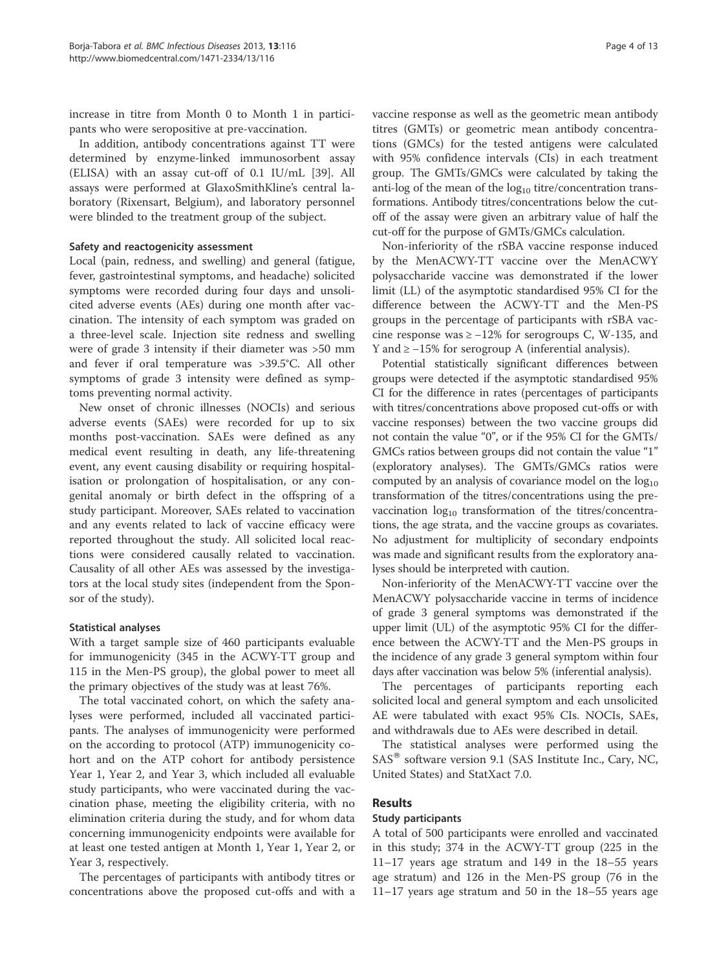increase in titre from Month 0 to Month 1 in participants who were seropositive at pre-vaccination.

In addition, antibody concentrations against TT were determined by enzyme-linked immunosorbent assay (ELISA) with an assay cut-off of 0.1 IU/mL [39]. All assays were performed at GlaxoSmithKline's central laboratory (Rixensart, Belgium), and laboratory personnel were blinded to the treatment group of the subject.

#### Safety and reactogenicity assessment

Local (pain, redness, and swelling) and general (fatigue, fever, gastrointestinal symptoms, and headache) solicited symptoms were recorded during four days and unsolicited adverse events (AEs) during one month after vaccination. The intensity of each symptom was graded on a three-level scale. Injection site redness and swelling were of grade 3 intensity if their diameter was >50 mm and fever if oral temperature was >39.5°C. All other symptoms of grade 3 intensity were defined as symptoms preventing normal activity.

New onset of chronic illnesses (NOCIs) and serious adverse events (SAEs) were recorded for up to six months post-vaccination. SAEs were defined as any medical event resulting in death, any life-threatening event, any event causing disability or requiring hospitalisation or prolongation of hospitalisation, or any congenital anomaly or birth defect in the offspring of a study participant. Moreover, SAEs related to vaccination and any events related to lack of vaccine efficacy were reported throughout the study. All solicited local reactions were considered causally related to vaccination. Causality of all other AEs was assessed by the investigators at the local study sites (independent from the Sponsor of the study).

## Statistical analyses

With a target sample size of 460 participants evaluable for immunogenicity (345 in the ACWY-TT group and 115 in the Men-PS group), the global power to meet all the primary objectives of the study was at least 76%.

The total vaccinated cohort, on which the safety analyses were performed, included all vaccinated participants. The analyses of immunogenicity were performed on the according to protocol (ATP) immunogenicity cohort and on the ATP cohort for antibody persistence Year 1, Year 2, and Year 3, which included all evaluable study participants, who were vaccinated during the vaccination phase, meeting the eligibility criteria, with no elimination criteria during the study, and for whom data concerning immunogenicity endpoints were available for at least one tested antigen at Month 1, Year 1, Year 2, or Year 3, respectively.

The percentages of participants with antibody titres or concentrations above the proposed cut-offs and with a

vaccine response as well as the geometric mean antibody titres (GMTs) or geometric mean antibody concentrations (GMCs) for the tested antigens were calculated with 95% confidence intervals (CIs) in each treatment group. The GMTs/GMCs were calculated by taking the anti-log of the mean of the  $log_{10}$  titre/concentration transformations. Antibody titres/concentrations below the cutoff of the assay were given an arbitrary value of half the cut-off for the purpose of GMTs/GMCs calculation.

Non-inferiority of the rSBA vaccine response induced by the MenACWY-TT vaccine over the MenACWY polysaccharide vaccine was demonstrated if the lower limit (LL) of the asymptotic standardised 95% CI for the difference between the ACWY-TT and the Men-PS groups in the percentage of participants with rSBA vaccine response was  $\ge -12\%$  for serogroups C, W-135, and Y and ≥ −15% for serogroup A (inferential analysis).

Potential statistically significant differences between groups were detected if the asymptotic standardised 95% CI for the difference in rates (percentages of participants with titres/concentrations above proposed cut-offs or with vaccine responses) between the two vaccine groups did not contain the value "0", or if the 95% CI for the GMTs/ GMCs ratios between groups did not contain the value "1" (exploratory analyses). The GMTs/GMCs ratios were computed by an analysis of covariance model on the  $log_{10}$ transformation of the titres/concentrations using the prevaccination  $log_{10}$  transformation of the titres/concentrations, the age strata, and the vaccine groups as covariates. No adjustment for multiplicity of secondary endpoints was made and significant results from the exploratory analyses should be interpreted with caution.

Non-inferiority of the MenACWY-TT vaccine over the MenACWY polysaccharide vaccine in terms of incidence of grade 3 general symptoms was demonstrated if the upper limit (UL) of the asymptotic 95% CI for the difference between the ACWY-TT and the Men-PS groups in the incidence of any grade 3 general symptom within four days after vaccination was below 5% (inferential analysis).

The percentages of participants reporting each solicited local and general symptom and each unsolicited AE were tabulated with exact 95% CIs. NOCIs, SAEs, and withdrawals due to AEs were described in detail.

The statistical analyses were performed using the  $SAS^{\omega}$  software version 9.1 (SAS Institute Inc., Cary, NC, United States) and StatXact 7.0.

## Results

#### Study participants

A total of 500 participants were enrolled and vaccinated in this study; 374 in the ACWY-TT group (225 in the 11–17 years age stratum and 149 in the 18–55 years age stratum) and 126 in the Men-PS group (76 in the 11–17 years age stratum and 50 in the 18–55 years age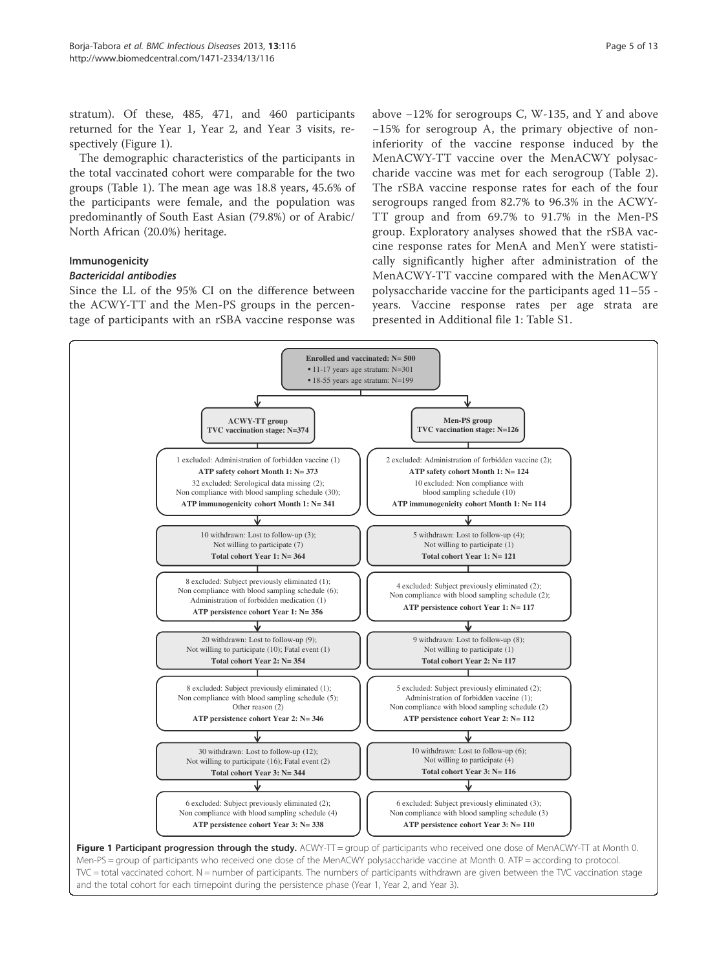stratum). Of these, 485, 471, and 460 participants returned for the Year 1, Year 2, and Year 3 visits, respectively (Figure 1).

The demographic characteristics of the participants in the total vaccinated cohort were comparable for the two groups (Table 1). The mean age was 18.8 years, 45.6% of the participants were female, and the population was predominantly of South East Asian (79.8%) or of Arabic/ North African (20.0%) heritage.

## Immunogenicity

#### Bactericidal antibodies

Since the LL of the 95% CI on the difference between the ACWY-TT and the Men-PS groups in the percentage of participants with an rSBA vaccine response was

above −12% for serogroups C, W-135, and Y and above −15% for serogroup A, the primary objective of noninferiority of the vaccine response induced by the MenACWY-TT vaccine over the MenACWY polysaccharide vaccine was met for each serogroup (Table 2). The rSBA vaccine response rates for each of the four serogroups ranged from 82.7% to 96.3% in the ACWY-TT group and from 69.7% to 91.7% in the Men-PS group. Exploratory analyses showed that the rSBA vaccine response rates for MenA and MenY were statistically significantly higher after administration of the MenACWY-TT vaccine compared with the MenACWY polysaccharide vaccine for the participants aged 11–55 years. Vaccine response rates per age strata are presented in Additional file 1: Table S1.

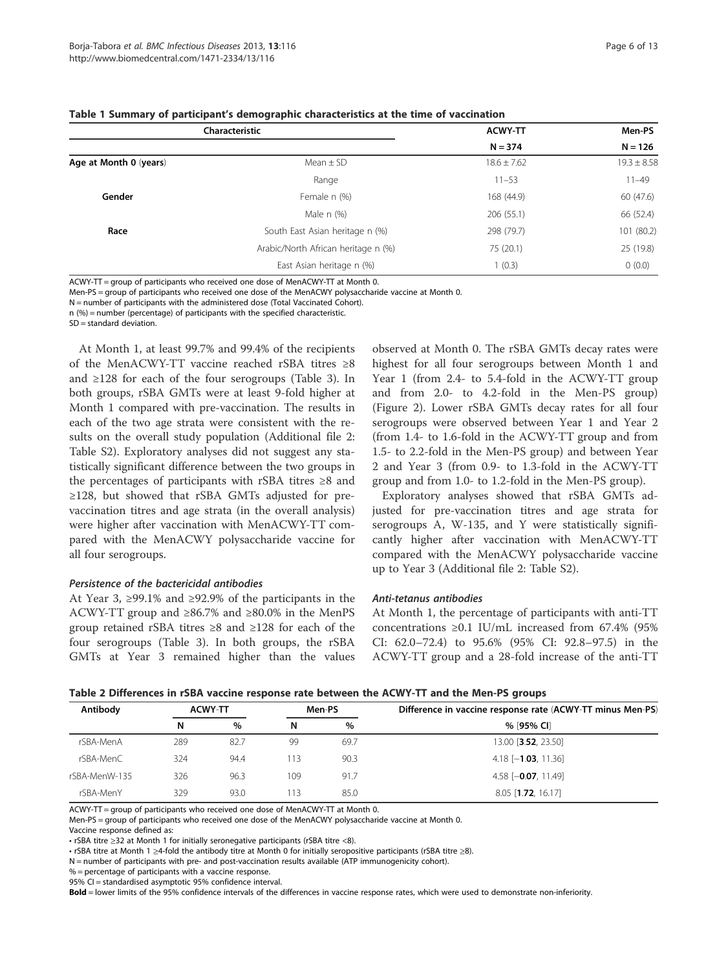| Page 6 of 13 |  |  |
|--------------|--|--|
|              |  |  |

|                        | Characteristic                      | <b>ACWY-TT</b>  | Men-PS          |
|------------------------|-------------------------------------|-----------------|-----------------|
|                        |                                     | $N = 374$       | $N = 126$       |
| Age at Month 0 (years) | Mean $\pm$ SD                       | $18.6 \pm 7.62$ | $19.3 \pm 8.58$ |
|                        | Range                               | $11 - 53$       | $11 - 49$       |
| Gender                 | Female n (%)                        | 168 (44.9)      | 60 (47.6)       |
|                        | Male n (%)                          | 206(55.1)       | 66 (52.4)       |
| Race                   | South East Asian heritage n (%)     | 298 (79.7)      | 101 (80.2)      |
|                        | Arabic/North African heritage n (%) | 75 (20.1)       | 25 (19.8)       |
|                        | East Asian heritage n (%)           | 1(0.3)          | 0(0.0)          |

| Table 1 Summary of participant's demographic characteristics at the time of vaccination |  |  |  |  |  |
|-----------------------------------------------------------------------------------------|--|--|--|--|--|
|-----------------------------------------------------------------------------------------|--|--|--|--|--|

ACWY-TT = group of participants who received one dose of MenACWY-TT at Month 0.

Men-PS = group of participants who received one dose of the MenACWY polysaccharide vaccine at Month 0.

N = number of participants with the administered dose (Total Vaccinated Cohort).

n (%) = number (percentage) of participants with the specified characteristic.

SD = standard deviation.

At Month 1, at least 99.7% and 99.4% of the recipients of the MenACWY-TT vaccine reached rSBA titres ≥8 and ≥128 for each of the four serogroups (Table 3). In both groups, rSBA GMTs were at least 9-fold higher at Month 1 compared with pre-vaccination. The results in each of the two age strata were consistent with the results on the overall study population (Additional file 2: Table S2). Exploratory analyses did not suggest any statistically significant difference between the two groups in the percentages of participants with rSBA titres ≥8 and ≥128, but showed that rSBA GMTs adjusted for prevaccination titres and age strata (in the overall analysis) were higher after vaccination with MenACWY-TT compared with the MenACWY polysaccharide vaccine for all four serogroups.

#### Persistence of the bactericidal antibodies

At Year 3, ≥99.1% and ≥92.9% of the participants in the ACWY-TT group and ≥86.7% and ≥80.0% in the MenPS group retained rSBA titres ≥8 and ≥128 for each of the four serogroups (Table 3). In both groups, the rSBA GMTs at Year 3 remained higher than the values observed at Month 0. The rSBA GMTs decay rates were highest for all four serogroups between Month 1 and Year 1 (from 2.4- to 5.4-fold in the ACWY-TT group and from 2.0- to 4.2-fold in the Men-PS group) (Figure 2). Lower rSBA GMTs decay rates for all four serogroups were observed between Year 1 and Year 2 (from 1.4- to 1.6-fold in the ACWY-TT group and from 1.5- to 2.2-fold in the Men-PS group) and between Year 2 and Year 3 (from 0.9- to 1.3-fold in the ACWY-TT group and from 1.0- to 1.2-fold in the Men-PS group).

Exploratory analyses showed that rSBA GMTs adjusted for pre-vaccination titres and age strata for serogroups A, W-135, and Y were statistically significantly higher after vaccination with MenACWY-TT compared with the MenACWY polysaccharide vaccine up to Year 3 (Additional file 2: Table S2).

#### Anti-tetanus antibodies

At Month 1, the percentage of participants with anti-TT concentrations ≥0.1 IU/mL increased from 67.4% (95% CI: 62.0–72.4) to 95.6% (95% CI: 92.8–97.5) in the ACWY-TT group and a 28-fold increase of the anti-TT

| Table 2 Differences in rSBA vaccine response rate between the ACWY-TT and the Men-PS groups |  |  |  |  |  |  |  |  |  |
|---------------------------------------------------------------------------------------------|--|--|--|--|--|--|--|--|--|
|---------------------------------------------------------------------------------------------|--|--|--|--|--|--|--|--|--|

| Antibody      |     | <b>ACWY-TT</b> |     | Men-PS | Difference in vaccine response rate (ACWY-TT minus Men-PS) |
|---------------|-----|----------------|-----|--------|------------------------------------------------------------|
|               | N   | $\%$           | N   | $\%$   | % [95% CI]                                                 |
| rSBA-MenA     | 289 | 82.7           | 99  | 69.7   | 13.00 <b>[3.52,</b> 23.50]                                 |
| rSBA-MenC     | 324 | 94.4           | 113 | 90.3   | $4.18$ [- <b>1.03</b> , 11.36]                             |
| rSBA-MenW-135 | 326 | 96.3           | 109 | 91.7   | 4.58 $[-0.07, 11.49]$                                      |
| rSBA-MenY     | 329 | 93.0           | 113 | 85.0   | $8.05$ [ <b>1.72</b> , 16.17]                              |

ACWY-TT = group of participants who received one dose of MenACWY-TT at Month 0.

Men-PS = group of participants who received one dose of the MenACWY polysaccharide vaccine at Month 0.

Vaccine response defined as:

• rSBA titre ≥32 at Month 1 for initially seronegative participants (rSBA titre <8).

• rSBA titre at Month 1 ≥4-fold the antibody titre at Month 0 for initially seropositive participants (rSBA titre ≥8).

N = number of participants with pre- and post-vaccination results available (ATP immunogenicity cohort).

% = percentage of participants with a vaccine response.

95% CI = standardised asymptotic 95% confidence interval.

Bold = lower limits of the 95% confidence intervals of the differences in vaccine response rates, which were used to demonstrate non-inferiority.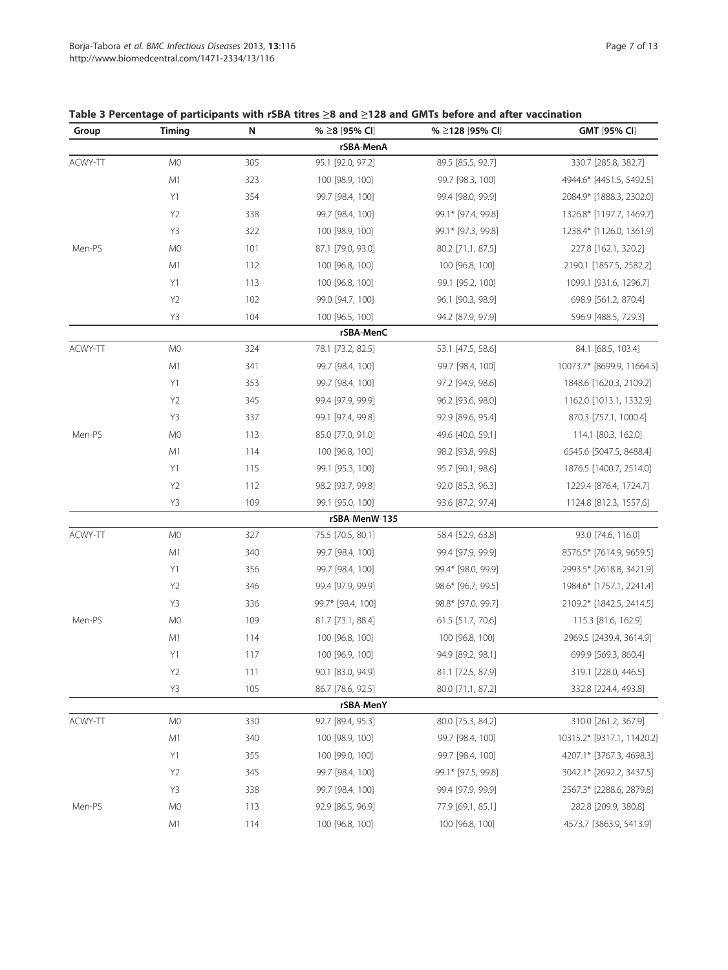## Table 3 Percentage of participants with rSBA titres ≥8 and ≥128 and GMTs before and after vaccination

| Group   | Timing         | N   | % ≥8 [95% CI]     | % ≥128 [95% CI]    | GMT [95% CI]               |
|---------|----------------|-----|-------------------|--------------------|----------------------------|
|         |                |     | rSBA-MenA         |                    |                            |
| ACWY-TT | M <sub>0</sub> | 305 | 95.1 [92.0, 97.2] | 89.5 [85.5, 92.7]  | 330.7 [285.8, 382.7]       |
|         | M1             | 323 | 100 [98.9, 100]   | 99.7 [98.3, 100]   | 4944.6* [4451.5, 5492.5]   |
|         | Y1             | 354 | 99.7 [98.4, 100]  | 99.4 [98.0, 99.9]  | 2084.9* [1888.3, 2302.0]   |
|         | Y <sub>2</sub> | 338 | 99.7 [98.4, 100]  | 99.1* [97.4, 99.8] | 1326.8* [1197.7, 1469.7]   |
|         | Y3             | 322 | 100 [98.9, 100]   | 99.1* [97.3, 99.8] | 1238.4* [1126.0, 1361.9]   |
| Men-PS  | M <sub>0</sub> | 101 | 87.1 [79.0, 93.0] | 80.2 [71.1, 87.5]  | 227.8 [162.1, 320.2]       |
|         | M1             | 112 | 100 [96.8, 100]   | 100 [96.8, 100]    | 2190.1 [1857.5, 2582.2]    |
|         | Y1             | 113 | 100 [96.8, 100]   | 99.1 [95.2, 100]   | 1099.1 [931.6, 1296.7]     |
|         | Y <sub>2</sub> | 102 | 99.0 [94.7, 100]  | 96.1 [90.3, 98.9]  | 698.9 [561.2, 870.4]       |
|         | Y3             | 104 | 100 [96.5, 100]   | 94.2 [87.9, 97.9]  | 596.9 [488.5, 729.3]       |
|         |                |     | rSBA-MenC         |                    |                            |
| ACWY-TT | M <sub>0</sub> | 324 | 78.1 [73.2, 82.5] | 53.1 [47.5, 58.6]  | 84.1 [68.5, 103.4]         |
|         | M1             | 341 | 99.7 [98.4, 100]  | 99.7 [98.4, 100]   | 10073.7* [8699.9, 11664.5] |
|         | Y1             | 353 | 99.7 [98.4, 100]  | 97.2 [94.9, 98.6]  | 1848.6 [1620.3, 2109.2]    |
|         | Y <sub>2</sub> | 345 | 99.4 [97.9, 99.9] | 96.2 [93.6, 98.0]  | 1162.0 [1013.1, 1332.9]    |
|         | Y3             | 337 | 99.1 [97.4, 99.8] | 92.9 [89.6, 95.4]  | 870.3 [757.1, 1000.4]      |
| Men-PS  | M <sub>0</sub> | 113 | 85.0 [77.0, 91.0] | 49.6 [40.0, 59.1]  | 114.1 [80.3, 162.0]        |
|         | M1             | 114 | 100 [96.8, 100]   | 98.2 [93.8, 99.8]  | 6545.6 [5047.5, 8488.4]    |
|         | Y1             | 115 | 99.1 [95.3, 100]  | 95.7 [90.1, 98.6]  | 1876.5 [1400.7, 2514.0]    |
|         | Y <sub>2</sub> | 112 | 98.2 [93.7, 99.8] | 92.0 [85.3, 96.3]  | 1229.4 [876.4, 1724.7]     |
|         | Y3             | 109 | 99.1 [95.0, 100]  | 93.6 [87.2, 97.4]  | 1124.8 [812.3, 1557,6]     |
|         |                |     | rSBA-MenW-135     |                    |                            |
| ACWY-TT | M <sub>0</sub> | 327 | 75.5 [70.5, 80.1] | 58.4 [52.9, 63.8]  | 93.0 [74.6, 116.0]         |
|         | M1             | 340 | 99.7 [98.4, 100]  | 99.4 [97.9, 99.9]  | 8576.5* [7614.9, 9659.5]   |
|         | Y1             | 356 | 99.7 [98.4, 100]  | 99.4* [98.0, 99.9] | 2993.5* [2618.8, 3421.9]   |
|         | Y <sub>2</sub> | 346 | 99.4 [97.9, 99.9] | 98.6* [96.7, 99.5] | 1984.6* [1757.1, 2241.4]   |
|         | Y3             | 336 | 99.7* [98.4, 100] | 98.8* [97.0, 99.7] | 2109.2* [1842.5, 2414.5]   |
| Men-PS  | M <sub>0</sub> | 109 | 81.7 [73.1, 88.4] | 61.5 [51.7, 70.6]  | 115.3 [81.6, 162.9]        |
|         | M1             | 114 | 100 [96.8, 100]   | 100 [96.8, 100]    | 2969.5 [2439.4, 3614.9]    |
|         | Y1             | 117 | 100 [96.9, 100]   | 94.9 [89.2, 98.1]  | 699.9 [569.3, 860.4]       |
|         | Y <sub>2</sub> | 111 | 90.1 [83.0, 94.9] | 81.1 [72.5, 87.9]  | 319.1 [228.0, 446.5]       |
|         | Y3             | 105 | 86.7 [78.6, 92.5] | 80.0 [71.1, 87.2]  | 332.8 [224.4, 493.8]       |
|         |                |     | rSBA-MenY         |                    |                            |
| ACWY-TT | M0             | 330 | 92.7 [89.4, 95.3] | 80.0 [75.3, 84.2]  | 310.0 [261.2, 367.9]       |
|         | M1             | 340 | 100 [98.9, 100]   | 99.7 [98.4, 100]   | 10315.2* [9317.1, 11420.2] |
|         | Y1             | 355 | 100 [99.0, 100]   | 99.7 [98.4, 100]   | 4207.1* [3767.3, 4698.3]   |
|         | Y <sub>2</sub> | 345 | 99.7 [98.4, 100]  | 99.1* [97.5, 99.8] | 3042.1* [2692.2, 3437.5]   |
|         | Y3             | 338 | 99.7 [98.4, 100]  | 99.4 [97.9, 99.9]  | 2567.3* [2288.6, 2879.8]   |
| Men-PS  | M <sub>0</sub> | 113 | 92.9 [86.5, 96.9] | 77.9 [69.1, 85.1]  | 282.8 [209.9, 380.8]       |
|         | M1             | 114 | 100 [96.8, 100]   | 100 [96.8, 100]    | 4573.7 [3863.9, 5413.9]    |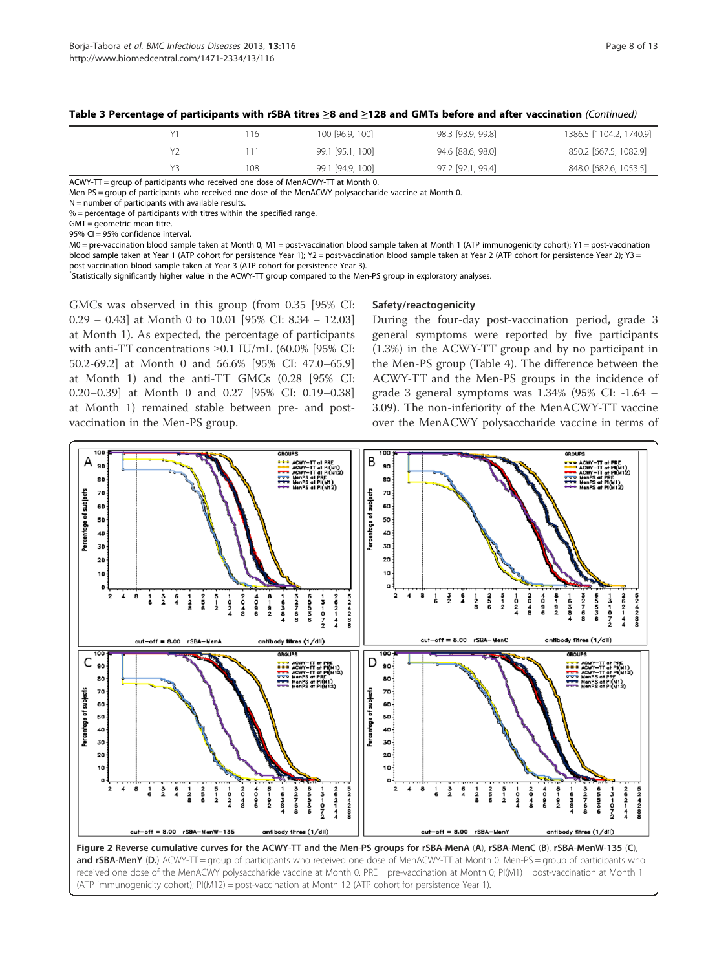|  | 16  | 100 [96.9, 100]  | 98.3 [93.9, 99.8] | 1386.5 [1104.2, 1740.9] |
|--|-----|------------------|-------------------|-------------------------|
|  |     | 99.1 [95.1, 100] | 94.6 [88.6, 98.0] | 850.2 [667.5, 1082.9]   |
|  | 108 | 99.1 [94.9, 100] | 97.2 [92.1, 99.4] | 848.0 [682.6, 1053.5]   |

#### Table 3 Percentage of participants with rSBA titres ≥8 and ≥128 and GMTs before and after vaccination (Continued)

ACWY-TT = group of participants who received one dose of MenACWY-TT at Month 0.

Men-PS = group of participants who received one dose of the MenACWY polysaccharide vaccine at Month 0.

 $N =$  number of participants with available results.

 $% =$  percentage of participants with titres within the specified range.

GMT = geometric mean titre.

95% CI = 95% confidence interval.

M0 = pre-vaccination blood sample taken at Month 0; M1 = post-vaccination blood sample taken at Month 1 (ATP immunogenicity cohort); Y1 = post-vaccination blood sample taken at Year 1 (ATP cohort for persistence Year 1); Y2 = post-vaccination blood sample taken at Year 2 (ATP cohort for persistence Year 2); Y3 =

post-vaccination blood sample taken at Year 3 (ATP cohort for persistence Year 3).

\* Statistically significantly higher value in the ACWY-TT group compared to the Men-PS group in exploratory analyses.

GMCs was observed in this group (from 0.35 [95% CI: 0.29 – 0.43] at Month 0 to 10.01 [95% CI: 8.34 – 12.03] at Month 1). As expected, the percentage of participants with anti-TT concentrations ≥0.1 IU/mL (60.0% [95% CI: 50.2-69.2] at Month 0 and 56.6% [95% CI: 47.0–65.9] at Month 1) and the anti-TT GMCs (0.28 [95% CI: 0.20–0.39] at Month 0 and 0.27 [95% CI: 0.19–0.38] at Month 1) remained stable between pre- and postvaccination in the Men-PS group.

#### Safety/reactogenicity

During the four-day post-vaccination period, grade 3 general symptoms were reported by five participants (1.3%) in the ACWY-TT group and by no participant in the Men-PS group (Table 4). The difference between the ACWY-TT and the Men-PS groups in the incidence of grade 3 general symptoms was 1.34% (95% CI: -1.64 – 3.09). The non-inferiority of the MenACWY-TT vaccine over the MenACWY polysaccharide vaccine in terms of



and rSBA-MenY (D.) ACWY-TT = group of participants who received one dose of MenACWY-TT at Month 0. Men-PS = group of participants who received one dose of the MenACWY polysaccharide vaccine at Month 0. PRE = pre-vaccination at Month 0; PI(M1) = post-vaccination at Month 1 (ATP immunogenicity cohort); PI(M12) = post-vaccination at Month 12 (ATP cohort for persistence Year 1).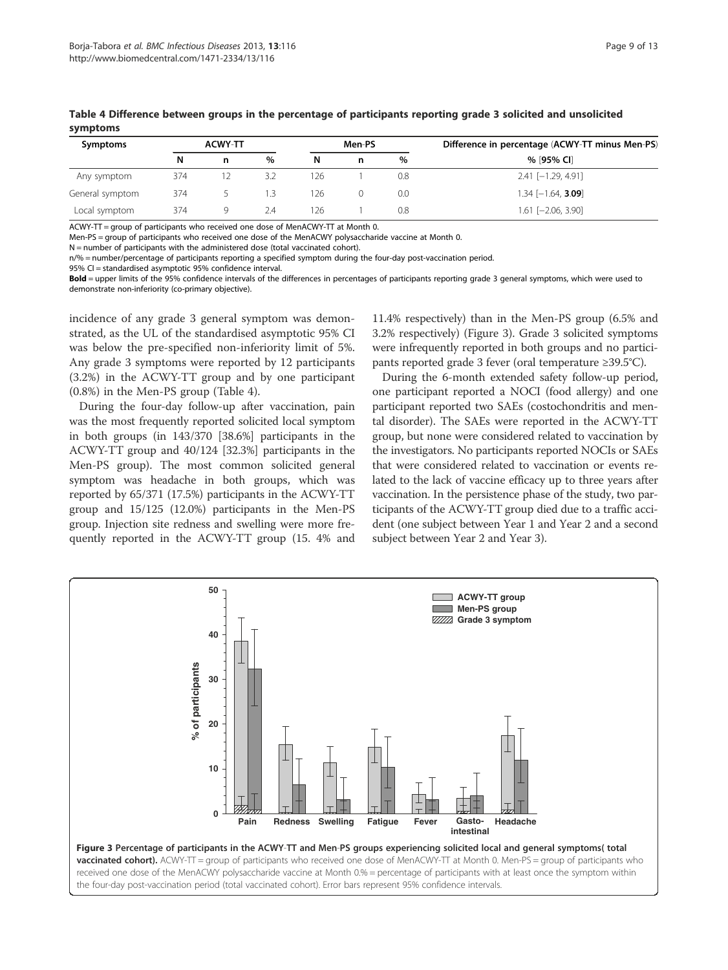| Symptoms        |     | <b>ACWY-TT</b> |     | Men-PS |   |     |                        |  | Difference in percentage (ACWY-TT minus Men-PS) |
|-----------------|-----|----------------|-----|--------|---|-----|------------------------|--|-------------------------------------------------|
|                 | N   | n              | %   | N.     | n | %   | % [95% CI]             |  |                                                 |
| Any symptom     | 374 |                | 3.2 | 126    |   | 0.8 | $2.41$ [-1.29, 4.91]   |  |                                                 |
| General symptom | 374 |                |     | 126    |   | 0.0 | $1.34$ $[-1.64, 3.09]$ |  |                                                 |
| Local symptom   | 374 | Q              | 7.4 | 126    |   | 0.8 | $1.61$ $[-2.06, 3.90]$ |  |                                                 |

Table 4 Difference between groups in the percentage of participants reporting grade 3 solicited and unsolicited symptoms

ACWY-TT = group of participants who received one dose of MenACWY-TT at Month 0.

Men-PS = group of participants who received one dose of the MenACWY polysaccharide vaccine at Month 0.

N = number of participants with the administered dose (total vaccinated cohort).

n/% = number/percentage of participants reporting a specified symptom during the four-day post-vaccination period.

95% CI = standardised asymptotic 95% confidence interval.

Bold = upper limits of the 95% confidence intervals of the differences in percentages of participants reporting grade 3 general symptoms, which were used to demonstrate non-inferiority (co-primary objective).

incidence of any grade 3 general symptom was demonstrated, as the UL of the standardised asymptotic 95% CI was below the pre-specified non-inferiority limit of 5%. Any grade 3 symptoms were reported by 12 participants (3.2%) in the ACWY-TT group and by one participant (0.8%) in the Men-PS group (Table 4).

During the four-day follow-up after vaccination, pain was the most frequently reported solicited local symptom in both groups (in 143/370 [38.6%] participants in the ACWY-TT group and 40/124 [32.3%] participants in the Men-PS group). The most common solicited general symptom was headache in both groups, which was reported by 65/371 (17.5%) participants in the ACWY-TT group and 15/125 (12.0%) participants in the Men-PS group. Injection site redness and swelling were more frequently reported in the ACWY-TT group (15. 4% and

11.4% respectively) than in the Men-PS group (6.5% and 3.2% respectively) (Figure 3). Grade 3 solicited symptoms were infrequently reported in both groups and no participants reported grade 3 fever (oral temperature ≥39.5°C).

During the 6-month extended safety follow-up period, one participant reported a NOCI (food allergy) and one participant reported two SAEs (costochondritis and mental disorder). The SAEs were reported in the ACWY-TT group, but none were considered related to vaccination by the investigators. No participants reported NOCIs or SAEs that were considered related to vaccination or events related to the lack of vaccine efficacy up to three years after vaccination. In the persistence phase of the study, two participants of the ACWY-TT group died due to a traffic accident (one subject between Year 1 and Year 2 and a second subject between Year 2 and Year 3).

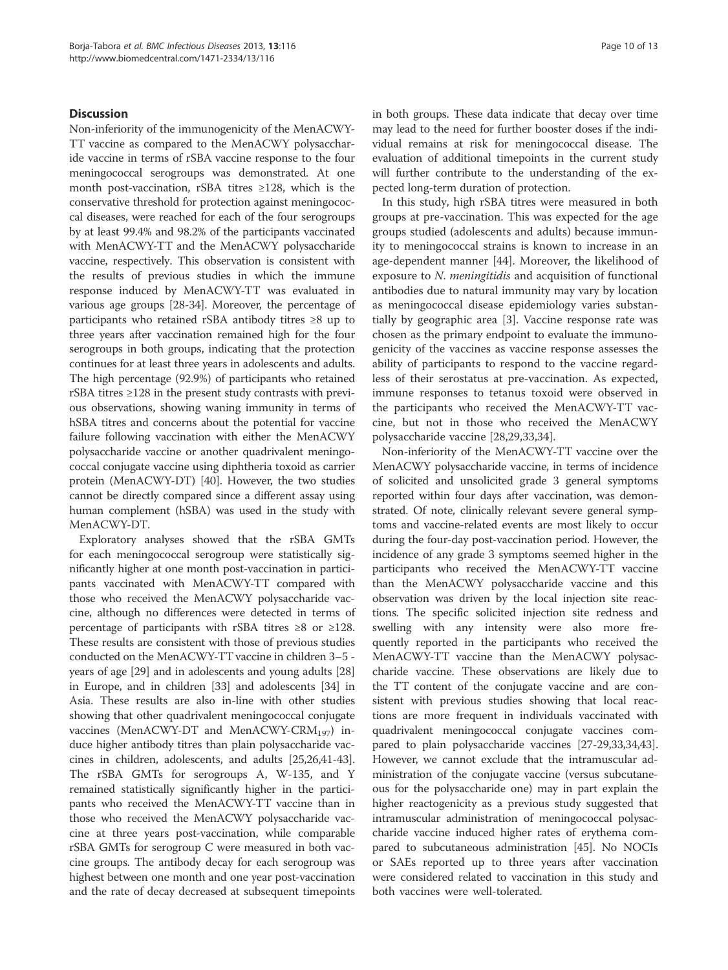## **Discussion**

Non-inferiority of the immunogenicity of the MenACWY-TT vaccine as compared to the MenACWY polysaccharide vaccine in terms of rSBA vaccine response to the four meningococcal serogroups was demonstrated. At one month post-vaccination, rSBA titres ≥128, which is the conservative threshold for protection against meningococcal diseases, were reached for each of the four serogroups by at least 99.4% and 98.2% of the participants vaccinated with MenACWY-TT and the MenACWY polysaccharide vaccine, respectively. This observation is consistent with the results of previous studies in which the immune response induced by MenACWY-TT was evaluated in various age groups [28-34]. Moreover, the percentage of participants who retained rSBA antibody titres ≥8 up to three years after vaccination remained high for the four serogroups in both groups, indicating that the protection continues for at least three years in adolescents and adults. The high percentage (92.9%) of participants who retained rSBA titres ≥128 in the present study contrasts with previous observations, showing waning immunity in terms of hSBA titres and concerns about the potential for vaccine failure following vaccination with either the MenACWY polysaccharide vaccine or another quadrivalent meningococcal conjugate vaccine using diphtheria toxoid as carrier protein (MenACWY-DT) [40]. However, the two studies cannot be directly compared since a different assay using human complement (hSBA) was used in the study with MenACWY-DT.

Exploratory analyses showed that the rSBA GMTs for each meningococcal serogroup were statistically significantly higher at one month post-vaccination in participants vaccinated with MenACWY-TT compared with those who received the MenACWY polysaccharide vaccine, although no differences were detected in terms of percentage of participants with rSBA titres ≥8 or ≥128. These results are consistent with those of previous studies conducted on the MenACWY-TT vaccine in children 3–5 years of age [29] and in adolescents and young adults [28] in Europe, and in children [33] and adolescents [34] in Asia. These results are also in-line with other studies showing that other quadrivalent meningococcal conjugate vaccines (MenACWY-DT and MenACWY-CRM<sub>197</sub>) induce higher antibody titres than plain polysaccharide vaccines in children, adolescents, and adults [25,26,41-43]. The rSBA GMTs for serogroups A, W-135, and Y remained statistically significantly higher in the participants who received the MenACWY-TT vaccine than in those who received the MenACWY polysaccharide vaccine at three years post-vaccination, while comparable rSBA GMTs for serogroup C were measured in both vaccine groups. The antibody decay for each serogroup was highest between one month and one year post-vaccination and the rate of decay decreased at subsequent timepoints in both groups. These data indicate that decay over time may lead to the need for further booster doses if the individual remains at risk for meningococcal disease. The evaluation of additional timepoints in the current study will further contribute to the understanding of the expected long-term duration of protection.

In this study, high rSBA titres were measured in both groups at pre-vaccination. This was expected for the age groups studied (adolescents and adults) because immunity to meningococcal strains is known to increase in an age-dependent manner [44]. Moreover, the likelihood of exposure to N. meningitidis and acquisition of functional antibodies due to natural immunity may vary by location as meningococcal disease epidemiology varies substantially by geographic area [3]. Vaccine response rate was chosen as the primary endpoint to evaluate the immunogenicity of the vaccines as vaccine response assesses the ability of participants to respond to the vaccine regardless of their serostatus at pre-vaccination. As expected, immune responses to tetanus toxoid were observed in the participants who received the MenACWY-TT vaccine, but not in those who received the MenACWY polysaccharide vaccine [28,29,33,34].

Non-inferiority of the MenACWY-TT vaccine over the MenACWY polysaccharide vaccine, in terms of incidence of solicited and unsolicited grade 3 general symptoms reported within four days after vaccination, was demonstrated. Of note, clinically relevant severe general symptoms and vaccine-related events are most likely to occur during the four-day post-vaccination period. However, the incidence of any grade 3 symptoms seemed higher in the participants who received the MenACWY-TT vaccine than the MenACWY polysaccharide vaccine and this observation was driven by the local injection site reactions. The specific solicited injection site redness and swelling with any intensity were also more frequently reported in the participants who received the MenACWY-TT vaccine than the MenACWY polysaccharide vaccine. These observations are likely due to the TT content of the conjugate vaccine and are consistent with previous studies showing that local reactions are more frequent in individuals vaccinated with quadrivalent meningococcal conjugate vaccines compared to plain polysaccharide vaccines [27-29,33,34,43]. However, we cannot exclude that the intramuscular administration of the conjugate vaccine (versus subcutaneous for the polysaccharide one) may in part explain the higher reactogenicity as a previous study suggested that intramuscular administration of meningococcal polysaccharide vaccine induced higher rates of erythema compared to subcutaneous administration [45]. No NOCIs or SAEs reported up to three years after vaccination were considered related to vaccination in this study and both vaccines were well-tolerated.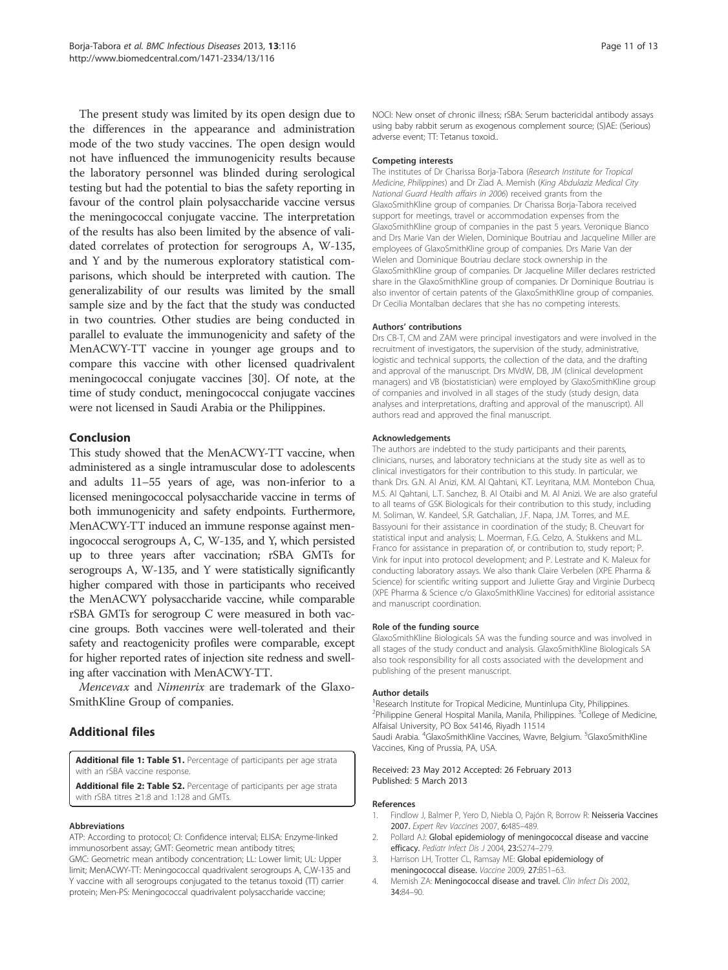The present study was limited by its open design due to the differences in the appearance and administration mode of the two study vaccines. The open design would not have influenced the immunogenicity results because the laboratory personnel was blinded during serological testing but had the potential to bias the safety reporting in favour of the control plain polysaccharide vaccine versus the meningococcal conjugate vaccine. The interpretation of the results has also been limited by the absence of validated correlates of protection for serogroups A, W-135, and Y and by the numerous exploratory statistical comparisons, which should be interpreted with caution. The generalizability of our results was limited by the small sample size and by the fact that the study was conducted in two countries. Other studies are being conducted in parallel to evaluate the immunogenicity and safety of the MenACWY-TT vaccine in younger age groups and to compare this vaccine with other licensed quadrivalent meningococcal conjugate vaccines [30]. Of note, at the time of study conduct, meningococcal conjugate vaccines were not licensed in Saudi Arabia or the Philippines.

## Conclusion

This study showed that the MenACWY-TT vaccine, when administered as a single intramuscular dose to adolescents and adults 11–55 years of age, was non-inferior to a licensed meningococcal polysaccharide vaccine in terms of both immunogenicity and safety endpoints. Furthermore, MenACWY-TT induced an immune response against meningococcal serogroups A, C, W-135, and Y, which persisted up to three years after vaccination; rSBA GMTs for serogroups A, W-135, and Y were statistically significantly higher compared with those in participants who received the MenACWY polysaccharide vaccine, while comparable rSBA GMTs for serogroup C were measured in both vaccine groups. Both vaccines were well-tolerated and their safety and reactogenicity profiles were comparable, except for higher reported rates of injection site redness and swelling after vaccination with MenACWY-TT.

Mencevax and Nimenrix are trademark of the Glaxo-SmithKline Group of companies.

## Additional files

Additional file 1: Table S1. Percentage of participants per age strata with an rSBA vaccine response.

Additional file 2: Table S2. Percentage of participants per age strata with rSBA titres ≥1:8 and 1:128 and GMTs.

#### Abbreviations

ATP: According to protocol; CI: Confidence interval; ELISA: Enzyme-linked immunosorbent assay; GMT: Geometric mean antibody titres; GMC: Geometric mean antibody concentration; LL: Lower limit; UL: Upper limit; MenACWY-TT: Meningococcal quadrivalent serogroups A, C,W-135 and Y vaccine with all serogroups conjugated to the tetanus toxoid (TT) carrier protein; Men-PS: Meningococcal quadrivalent polysaccharide vaccine;

NOCI: New onset of chronic illness; rSBA: Serum bactericidal antibody assays using baby rabbit serum as exogenous complement source; (S)AE: (Serious) adverse event; TT: Tetanus toxoid..

#### Competing interests

The institutes of Dr Charissa Borja-Tabora (Research Institute for Tropical Medicine, Philippines) and Dr Ziad A. Memish (King Abdulaziz Medical City National Guard Health affairs in 2006) received grants from the GlaxoSmithKline group of companies. Dr Charissa Borja-Tabora received support for meetings, travel or accommodation expenses from the GlaxoSmithKline group of companies in the past 5 years. Veronique Bianco and Drs Marie Van der Wielen, Dominique Boutriau and Jacqueline Miller are employees of GlaxoSmithKline group of companies. Drs Marie Van der Wielen and Dominique Boutriau declare stock ownership in the GlaxoSmithKline group of companies. Dr Jacqueline Miller declares restricted share in the GlaxoSmithKline group of companies. Dr Dominique Boutriau is also inventor of certain patents of the GlaxoSmithKline group of companies. Dr Cecilia Montalban declares that she has no competing interests.

#### Authors' contributions

Drs CB-T, CM and ZAM were principal investigators and were involved in the recruitment of investigators, the supervision of the study, administrative, logistic and technical supports, the collection of the data, and the drafting and approval of the manuscript. Drs MVdW, DB, JM (clinical development managers) and VB (biostatistician) were employed by GlaxoSmithKline group of companies and involved in all stages of the study (study design, data analyses and interpretations, drafting and approval of the manuscript). All authors read and approved the final manuscript.

#### Acknowledgements

The authors are indebted to the study participants and their parents, clinicians, nurses, and laboratory technicians at the study site as well as to clinical investigators for their contribution to this study. In particular, we thank Drs. G.N. Al Anizi, K.M. Al Qahtani, K.T. Leyritana, M.M. Montebon Chua, M.S. Al Qahtani, L.T. Sanchez, B. Al Otaibi and M. Al Anizi. We are also grateful to all teams of GSK Biologicals for their contribution to this study, including M. Soliman, W. Kandeel, S.R. Gatchalian, J.F. Napa, J.M. Torres, and M.E. Bassyouni for their assistance in coordination of the study; B. Cheuvart for statistical input and analysis; L. Moerman, F.G. Celzo, A. Stukkens and M.L. Franco for assistance in preparation of, or contribution to, study report; P. Vink for input into protocol development; and P. Lestrate and K. Maleux for conducting laboratory assays. We also thank Claire Verbelen (XPE Pharma & Science) for scientific writing support and Juliette Gray and Virginie Durbecq (XPE Pharma & Science c/o GlaxoSmithKline Vaccines) for editorial assistance and manuscript coordination.

#### Role of the funding source

GlaxoSmithKline Biologicals SA was the funding source and was involved in all stages of the study conduct and analysis. GlaxoSmithKline Biologicals SA also took responsibility for all costs associated with the development and publishing of the present manuscript.

#### Author details

<sup>1</sup> Research Institute for Tropical Medicine, Muntinlupa City, Philippines. <sup>2</sup>Philippine General Hospital Manila, Manila, Philippines. <sup>3</sup>College of Medicine Alfaisal University, PO Box 54146, Riyadh 11514 Saudi Arabia. <sup>4</sup>GlaxoSmithKline Vaccines, Wavre, Belgium. <sup>5</sup>GlaxoSmithKline Vaccines, King of Prussia, PA, USA.

#### Received: 23 May 2012 Accepted: 26 February 2013 Published: 5 March 2013

#### References

- 1. Findlow J, Balmer P, Yero D, Niebla O, Pajón R, Borrow R: Neisseria Vaccines 2007. Expert Rev Vaccines 2007, 6:485–489.
- 2. Pollard AJ: Global epidemiology of meningococcal disease and vaccine efficacy. Pediatr Infect Dis J 2004, 23:S274–279.
- 3. Harrison LH, Trotter CL, Ramsay ME: Global epidemiology of meningococcal disease. Vaccine 2009, 27:B51–63.
- 4. Memish ZA: Meningococcal disease and travel. Clin Infect Dis 2002, 34:84–90.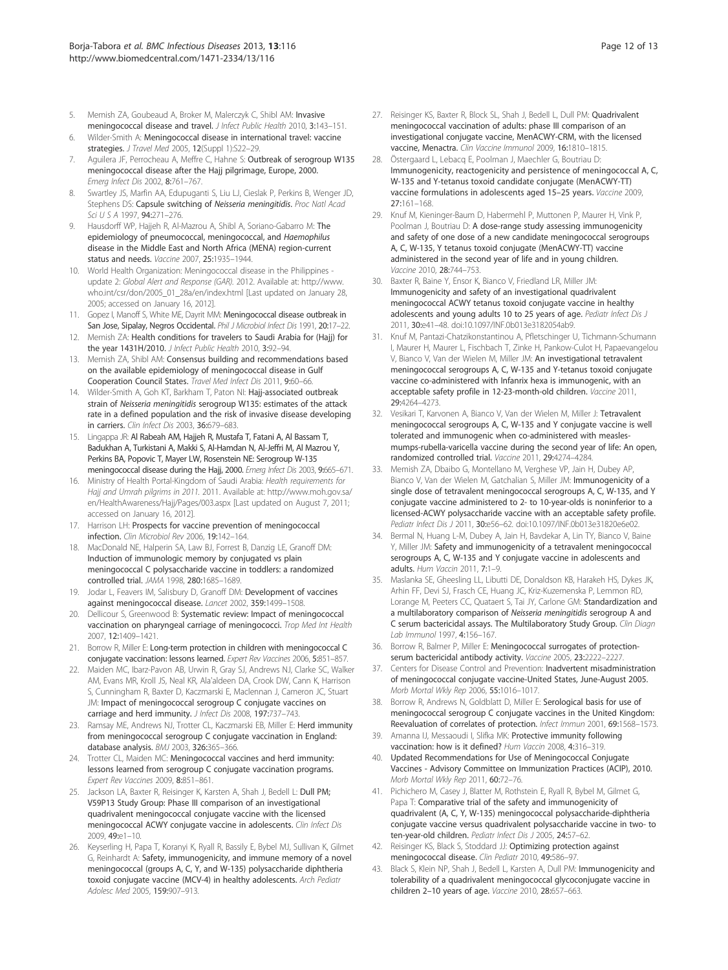- 5. Memish ZA, Goubeaud A, Broker M, Malerczyk C, Shibl AM: Invasive meningococcal disease and travel. J Infect Public Health 2010, 3:143–151.
- 6. Wilder-Smith A: Meningococcal disease in international travel: vaccine strategies. J Travel Med 2005, 12(Suppl 1):S22-29.
- 7. Aguilera JF, Perrocheau A, Meffre C, Hahne S: Outbreak of serogroup W135 meningococcal disease after the Hajj pilgrimage, Europe, 2000. Emerg Infect Dis 2002, 8:761–767.
- 8. Swartley JS, Marfin AA, Edupuganti S, Liu LJ, Cieslak P, Perkins B, Wenger JD, Stephens DS: Capsule switching of Neisseria meningitidis. Proc Natl Acad Sci U S A 1997, 94:271–276.
- Hausdorff WP, Hajjeh R, Al-Mazrou A, Shibl A, Soriano-Gabarro M: The epidemiology of pneumococcal, meningococcal, and Haemophilus disease in the Middle East and North Africa (MENA) region-current status and needs. Vaccine 2007, 25:1935–1944.
- 10. World Health Organization: Meningococcal disease in the Philippines update 2: Global Alert and Response (GAR). 2012. Available at: http://www. who.int/csr/don/2005\_01\_28a/en/index.html [Last updated on January 28, 2005; accessed on January 16, 2012].
- 11. Gopez I, Manoff S, White ME, Dayrit MM: Meningococcal disease outbreak in San Jose, Sipalay, Negros Occidental. Phil J Microbiol Infect Dis 1991, 20:17-22. 12. Memish ZA: Health conditions for travelers to Saudi Arabia for (Hajj) for
- the year 1431H/2010. J Infect Public Health 2010, 3:92–94.
- 13. Memish ZA, Shibl AM: Consensus building and recommendations based on the available epidemiology of meningococcal disease in Gulf Cooperation Council States. Travel Med Infect Dis 2011, 9:60–66.
- 14. Wilder-Smith A, Goh KT, Barkham T, Paton NI: Hajj-associated outbreak strain of Neisseria meningitidis serogroup W135: estimates of the attack rate in a defined population and the risk of invasive disease developing in carriers. Clin Infect Dis 2003, 36:679-683.
- 15. Lingappa JR: Al Rabeah AM, Hajjeh R, Mustafa T, Fatani A, Al Bassam T, Badukhan A, Turkistani A, Makki S, Al-Hamdan N, Al-Jeffri M, Al Mazrou Y, Perkins BA, Popovic T, Mayer LW, Rosenstein NE: Serogroup W-135 meningococcal disease during the Hajj, 2000. Emerg Infect Dis 2003, 9:665–671.
- 16. Ministry of Health Portal-Kingdom of Saudi Arabia: Health requirements for Hajj and Umrah pilgrims in 2011. 2011. Available at: http://www.moh.gov.sa/ en/HealthAwareness/Hajj/Pages/003.aspx [Last updated on August 7, 2011; accessed on January 16, 2012].
- 17. Harrison LH: Prospects for vaccine prevention of meningococcal infection. Clin Microbiol Rev 2006, 19:142–164.
- 18. MacDonald NE, Halperin SA, Law BJ, Forrest B, Danzig LE, Granoff DM: Induction of immunologic memory by conjugated vs plain meningococcal C polysaccharide vaccine in toddlers: a randomized controlled trial. JAMA 1998, 280:1685–1689.
- 19. Jodar L, Feavers IM, Salisbury D, Granoff DM: Development of vaccines against meningococcal disease. Lancet 2002, 359:1499–1508.
- 20. Dellicour S, Greenwood B: Systematic review: Impact of meningococcal vaccination on pharyngeal carriage of meningococci. Trop Med Int Health 2007, 12:1409–1421.
- 21. Borrow R, Miller E: Long-term protection in children with meningococcal C conjugate vaccination: lessons learned. Expert Rev Vaccines 2006, 5:851–857.
- 22. Maiden MC, Ibarz-Pavon AB, Urwin R, Gray SJ, Andrews NJ, Clarke SC, Walker AM, Evans MR, Kroll JS, Neal KR, Ala'aldeen DA, Crook DW, Cann K, Harrison S, Cunningham R, Baxter D, Kaczmarski E, Maclennan J, Cameron JC, Stuart JM: Impact of meningococcal serogroup C conjugate vaccines on carriage and herd immunity. J Infect Dis 2008, 197:737-743.
- 23. Ramsay ME, Andrews NJ, Trotter CL, Kaczmarski EB, Miller E: Herd immunity from meningococcal serogroup C conjugate vaccination in England: database analysis. BMJ 2003, 326:365–366.
- 24. Trotter CL, Maiden MC: Meningococcal vaccines and herd immunity: lessons learned from serogroup C conjugate vaccination programs. Expert Rev Vaccines 2009, 8:851–861.
- 25. Jackson LA, Baxter R, Reisinger K, Karsten A, Shah J, Bedell L: Dull PM; V59P13 Study Group: Phase III comparison of an investigational quadrivalent meningococcal conjugate vaccine with the licensed meningococcal ACWY conjugate vaccine in adolescents. Clin Infect Dis 2009, 49:e1–10.
- 26. Keyserling H, Papa T, Koranyi K, Ryall R, Bassily E, Bybel MJ, Sullivan K, Gilmet G, Reinhardt A: Safety, immunogenicity, and immune memory of a novel meningococcal (groups A, C, Y, and W-135) polysaccharide diphtheria toxoid conjugate vaccine (MCV-4) in healthy adolescents. Arch Pediatr Adolesc Med 2005, 159:907–913.
- 27. Reisinger KS, Baxter R, Block SL, Shah J, Bedell L, Dull PM: Quadrivalent meningococcal vaccination of adults: phase III comparison of an investigational conjugate vaccine, MenACWY-CRM, with the licensed vaccine, Menactra. Clin Vaccine Immunol 2009, 16:1810-1815
- 28. Östergaard L, Lebacq E, Poolman J, Maechler G, Boutriau D: Immunogenicity, reactogenicity and persistence of meningococcal A, C, W-135 and Y-tetanus toxoid candidate conjugate (MenACWY-TT) vaccine formulations in adolescents aged 15–25 years. Vaccine 2009, 27:161–168.
- 29. Knuf M, Kieninger-Baum D, Habermehl P, Muttonen P, Maurer H, Vink P, Poolman J, Boutriau D: A dose-range study assessing immunogenicity and safety of one dose of a new candidate meningococcal serogroups A, C, W-135, Y tetanus toxoid conjugate (MenACWY-TT) vaccine administered in the second year of life and in young children. Vaccine 2010, 28:744–753.
- 30. Baxter R, Baine Y, Ensor K, Bianco V, Friedland LR, Miller JM: Immunogenicity and safety of an investigational quadrivalent meningococcal ACWY tetanus toxoid conjugate vaccine in healthy adolescents and young adults 10 to 25 years of age. Pediatr Infect Dis J 2011, 30:e41–48. doi:10.1097/INF.0b013e3182054ab9.
- 31. Knuf M, Pantazi-Chatzikonstantinou A, Pfletschinger U, Tichmann-Schumann I, Maurer H, Maurer L, Fischbach T, Zinke H, Pankow-Culot H, Papaevangelou V, Bianco V, Van der Wielen M, Miller JM: An investigational tetravalent meningococcal serogroups A, C, W-135 and Y-tetanus toxoid conjugate vaccine co-administered with Infanrix hexa is immunogenic, with an acceptable safety profile in 12-23-month-old children. Vaccine 2011, 29:4264–4273.
- 32. Vesikari T, Karvonen A, Bianco V, Van der Wielen M, Miller J: Tetravalent meningococcal serogroups A, C, W-135 and Y conjugate vaccine is well tolerated and immunogenic when co-administered with measlesmumps-rubella-varicella vaccine during the second year of life: An open, randomized controlled trial. Vaccine 2011, 29:4274–4284.
- 33. Memish ZA, Dbaibo G, Montellano M, Verghese VP, Jain H, Dubey AP, Bianco V, Van der Wielen M, Gatchalian S, Miller JM: Immunogenicity of a single dose of tetravalent meningococcal serogroups A, C, W-135, and Y conjugate vaccine administered to 2- to 10-year-olds is noninferior to a licensed-ACWY polysaccharide vaccine with an acceptable safety profile. Pediatr Infect Dis J 2011, 30:e56–62. doi:10.1097/INF.0b013e31820e6e02.
- 34. Bermal N, Huang L-M, Dubey A, Jain H, Bavdekar A, Lin TY, Bianco V, Baine Y, Miller JM: Safety and immunogenicity of a tetravalent meningococcal serogroups A, C, W-135 and Y conjugate vaccine in adolescents and adults. Hum Vaccin 2011, 7:1–9.
- 35. Maslanka SE, Gheesling LL, Libutti DE, Donaldson KB, Harakeh HS, Dykes JK, Arhin FF, Devi SJ, Frasch CE, Huang JC, Kriz-Kuzemenska P, Lemmon RD, Lorange M, Peeters CC, Quataert S, Tai JY, Carlone GM: Standardization and a multilaboratory comparison of Neisseria meningitidis serogroup A and C serum bactericidal assays. The Multilaboratory Study Group. Clin Diagn Lab Immunol 1997, 4:156–167.
- 36. Borrow R, Balmer P, Miller E: Meningococcal surrogates of protectionserum bactericidal antibody activity. Vaccine 2005, 23:2222–2227.
- 37. Centers for Disease Control and Prevention: Inadvertent misadministration of meningococcal conjugate vaccine-United States, June-August 2005. Morb Mortal Wkly Rep 2006, 55:1016–1017.
- 38. Borrow R, Andrews N, Goldblatt D, Miller E: Serological basis for use of meningococcal serogroup C conjugate vaccines in the United Kingdom: Reevaluation of correlates of protection. Infect Immun 2001, 69:1568–1573.
- 39. Amanna IJ, Messaoudi I, Slifka MK: Protective immunity following vaccination: how is it defined? Hum Vaccin 2008, 4:316–319.
- 40. Updated Recommendations for Use of Meningococcal Conjugate Vaccines - Advisory Committee on Immunization Practices (ACIP), 2010. Morb Mortal Wkly Rep 2011, 60:72–76.
- 41. Pichichero M, Casey J, Blatter M, Rothstein E, Ryall R, Bybel M, Gilmet G, Papa T: Comparative trial of the safety and immunogenicity of quadrivalent (A, C, Y, W-135) meningococcal polysaccharide-diphtheria conjugate vaccine versus quadrivalent polysaccharide vaccine in two- to ten-year-old children. Pediatr Infect Dis J 2005, 24:57-62.
- Reisinger KS, Black S, Stoddard JJ: Optimizing protection against meningococcal disease. Clin Pediatr 2010, 49:586–97.
- 43. Black S, Klein NP, Shah J, Bedell L, Karsten A, Dull PM: Immunogenicity and tolerability of a quadrivalent meningococcal glycoconjugate vaccine in children 2-10 years of age. Vaccine 2010, 28:657-663.